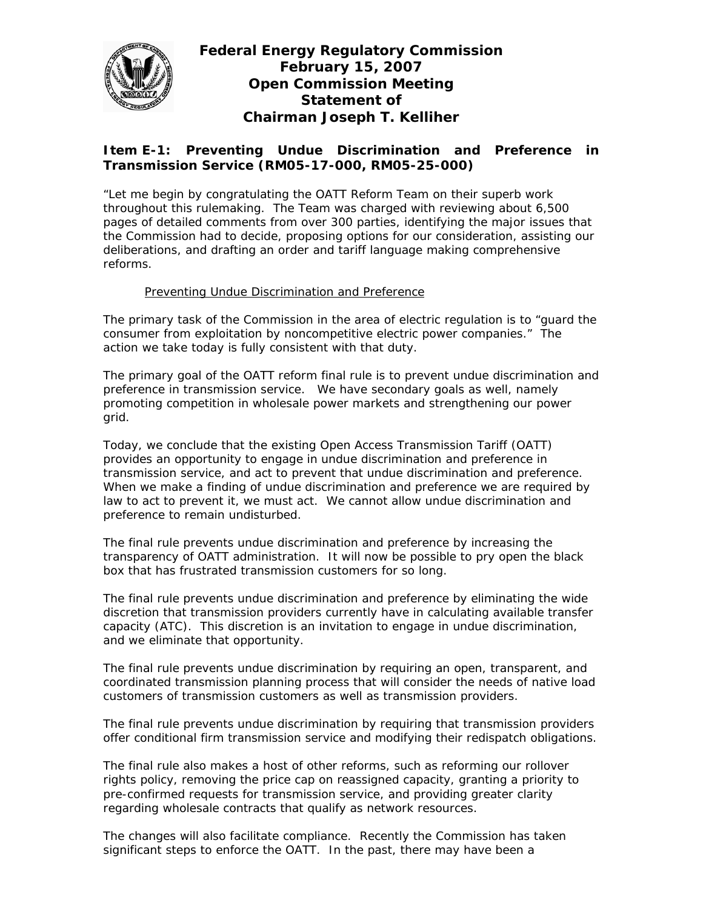

**Federal Energy Regulatory Commission February 15, 2007 Open Commission Meeting Statement of Chairman Joseph T. Kelliher** 

# **Item E-1: Preventing Undue Discrimination and Preference in Transmission Service (RM05-17-000, RM05-25-000)**

"Let me begin by congratulating the OATT Reform Team on their superb work throughout this rulemaking. The Team was charged with reviewing about 6,500 pages of detailed comments from over 300 parties, identifying the major issues that the Commission had to decide, proposing options for our consideration, assisting our deliberations, and drafting an order and tariff language making comprehensive reforms.

## Preventing Undue Discrimination and Preference

The primary task of the Commission in the area of electric regulation is to "guard the consumer from exploitation by noncompetitive electric power companies." The action we take today is fully consistent with that duty.

The primary goal of the OATT reform final rule is to prevent undue discrimination and preference in transmission service. We have secondary goals as well, namely promoting competition in wholesale power markets and strengthening our power grid.

Today, we conclude that the existing Open Access Transmission Tariff (OATT) provides an opportunity to engage in undue discrimination and preference in transmission service, and act to prevent that undue discrimination and preference. When we make a finding of undue discrimination and preference we are required by law to act to prevent it, we must act. We cannot allow undue discrimination and preference to remain undisturbed.

The final rule prevents undue discrimination and preference by increasing the transparency of OATT administration. It will now be possible to pry open the black box that has frustrated transmission customers for so long.

The final rule prevents undue discrimination and preference by eliminating the wide discretion that transmission providers currently have in calculating available transfer capacity (ATC). This discretion is an invitation to engage in undue discrimination, and we eliminate that opportunity.

The final rule prevents undue discrimination by requiring an open, transparent, and coordinated transmission planning process that will consider the needs of native load customers of transmission customers as well as transmission providers.

The final rule prevents undue discrimination by requiring that transmission providers offer conditional firm transmission service and modifying their redispatch obligations.

The final rule also makes a host of other reforms, such as reforming our rollover rights policy, removing the price cap on reassigned capacity, granting a priority to pre-confirmed requests for transmission service, and providing greater clarity regarding wholesale contracts that qualify as network resources.

The changes will also facilitate compliance. Recently the Commission has taken significant steps to enforce the OATT. In the past, there may have been a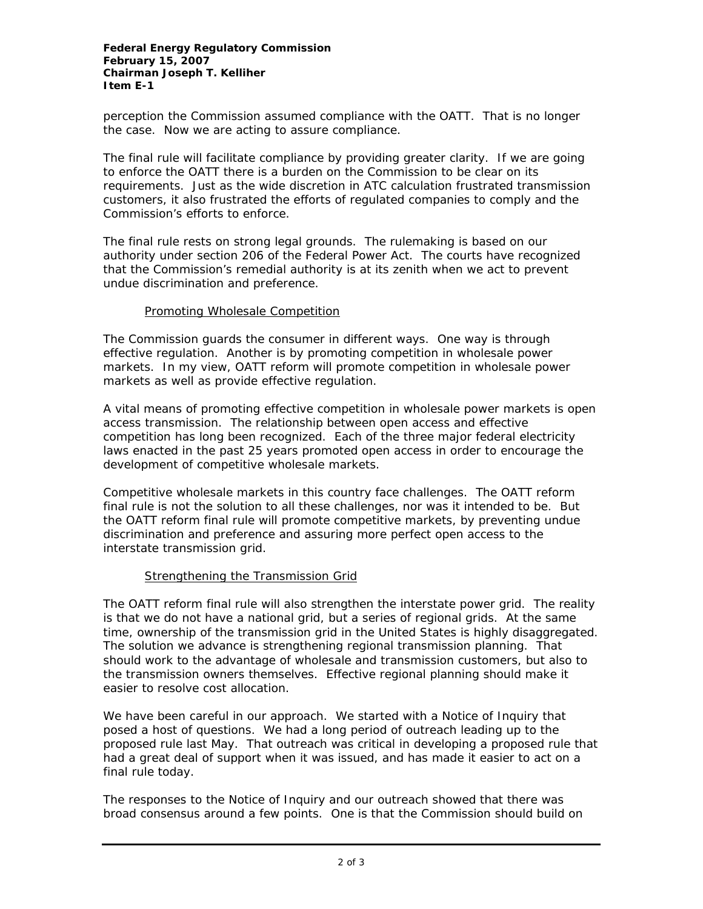perception the Commission assumed compliance with the OATT. That is no longer the case. Now we are acting to assure compliance.

The final rule will facilitate compliance by providing greater clarity. If we are going to enforce the OATT there is a burden on the Commission to be clear on its requirements. Just as the wide discretion in ATC calculation frustrated transmission customers, it also frustrated the efforts of regulated companies to comply and the Commission's efforts to enforce.

The final rule rests on strong legal grounds. The rulemaking is based on our authority under section 206 of the Federal Power Act. The courts have recognized that the Commission's remedial authority is at its zenith when we act to prevent undue discrimination and preference.

### Promoting Wholesale Competition

The Commission guards the consumer in different ways. One way is through effective regulation. Another is by promoting competition in wholesale power markets. In my view, OATT reform will promote competition in wholesale power markets as well as provide effective regulation.

A vital means of promoting effective competition in wholesale power markets is open access transmission. The relationship between open access and effective competition has long been recognized. Each of the three major federal electricity laws enacted in the past 25 years promoted open access in order to encourage the development of competitive wholesale markets.

Competitive wholesale markets in this country face challenges. The OATT reform final rule is not the solution to all these challenges, nor was it intended to be. But the OATT reform final rule will promote competitive markets, by preventing undue discrimination and preference and assuring more perfect open access to the interstate transmission grid.

### Strengthening the Transmission Grid

The OATT reform final rule will also strengthen the interstate power grid. The reality is that we do not have a national grid, but a series of regional grids. At the same time, ownership of the transmission grid in the United States is highly disaggregated. The solution we advance is strengthening regional transmission planning. That should work to the advantage of wholesale and transmission customers, but also to the transmission owners themselves. Effective regional planning should make it easier to resolve cost allocation.

We have been careful in our approach. We started with a Notice of Inquiry that posed a host of questions. We had a long period of outreach leading up to the proposed rule last May. That outreach was critical in developing a proposed rule that had a great deal of support when it was issued, and has made it easier to act on a final rule today.

The responses to the Notice of Inquiry and our outreach showed that there was broad consensus around a few points. One is that the Commission should build on